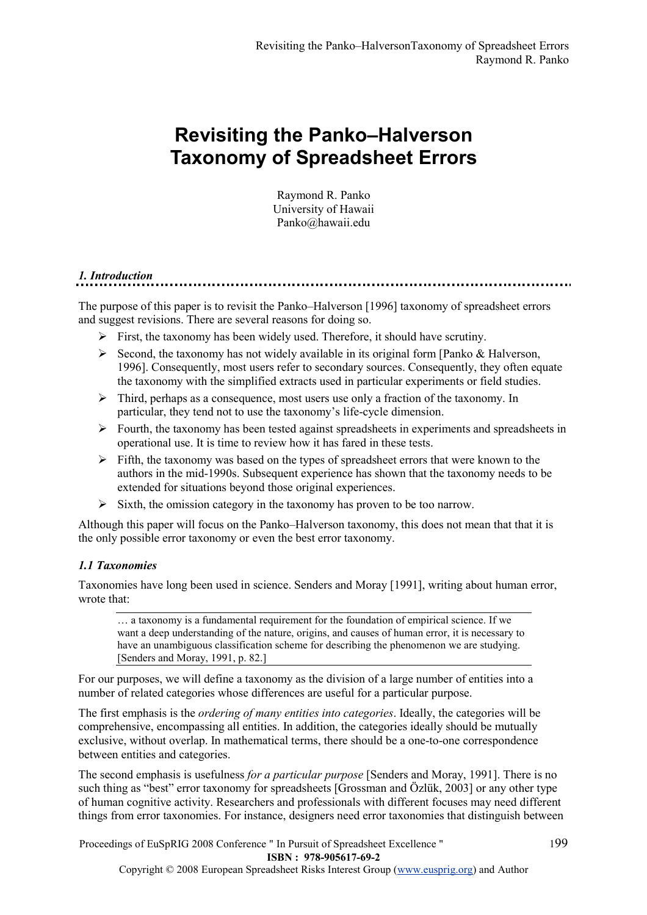# Revisiting the Panko–Halverson Taxonomy of Spreadsheet Errors

Raymond R. Panko University of Hawaii Panko@hawaii.edu

# 1. Introduction

The purpose of this paper is to revisit the Panko–Halverson [1996] taxonomy of spreadsheet errors and suggest revisions. There are several reasons for doing so.

- $\triangleright$  First, the taxonomy has been widely used. Therefore, it should have scrutiny.
- $\triangleright$  Second, the taxonomy has not widely available in its original form [Panko & Halverson, 1996]. Consequently, most users refer to secondary sources. Consequently, they often equate the taxonomy with the simplified extracts used in particular experiments or field studies.
- $\triangleright$  Third, perhaps as a consequence, most users use only a fraction of the taxonomy. In particular, they tend not to use the taxonomy's life-cycle dimension.
- $\triangleright$  Fourth, the taxonomy has been tested against spreadsheets in experiments and spreadsheets in operational use. It is time to review how it has fared in these tests.
- $\triangleright$  Fifth, the taxonomy was based on the types of spreadsheet errors that were known to the authors in the mid-1990s. Subsequent experience has shown that the taxonomy needs to be extended for situations beyond those original experiences.
- $\triangleright$  Sixth, the omission category in the taxonomy has proven to be too narrow.

Although this paper will focus on the Panko–Halverson taxonomy, this does not mean that that it is the only possible error taxonomy or even the best error taxonomy.

## 1.1 Taxonomies

Taxonomies have long been used in science. Senders and Moray [1991], writing about human error, wrote that:

… a taxonomy is a fundamental requirement for the foundation of empirical science. If we want a deep understanding of the nature, origins, and causes of human error, it is necessary to have an unambiguous classification scheme for describing the phenomenon we are studying. [Senders and Moray, 1991, p. 82.]

For our purposes, we will define a taxonomy as the division of a large number of entities into a number of related categories whose differences are useful for a particular purpose.

The first emphasis is the *ordering of many entities into categories*. Ideally, the categories will be comprehensive, encompassing all entities. In addition, the categories ideally should be mutually exclusive, without overlap. In mathematical terms, there should be a one-to-one correspondence between entities and categories.

The second emphasis is usefulness *for a particular purpose* [Senders and Moray, 1991]. There is no such thing as "best" error taxonomy for spreadsheets [Grossman and Özlük, 2003] or any other type of human cognitive activity. Researchers and professionals with different focuses may need different things from error taxonomies. For instance, designers need error taxonomies that distinguish between

Proceedings of EuSpRIG 2008 Conference " In Pursuit of Spreadsheet Excellence " 199 ISBN : 978-905617-69-2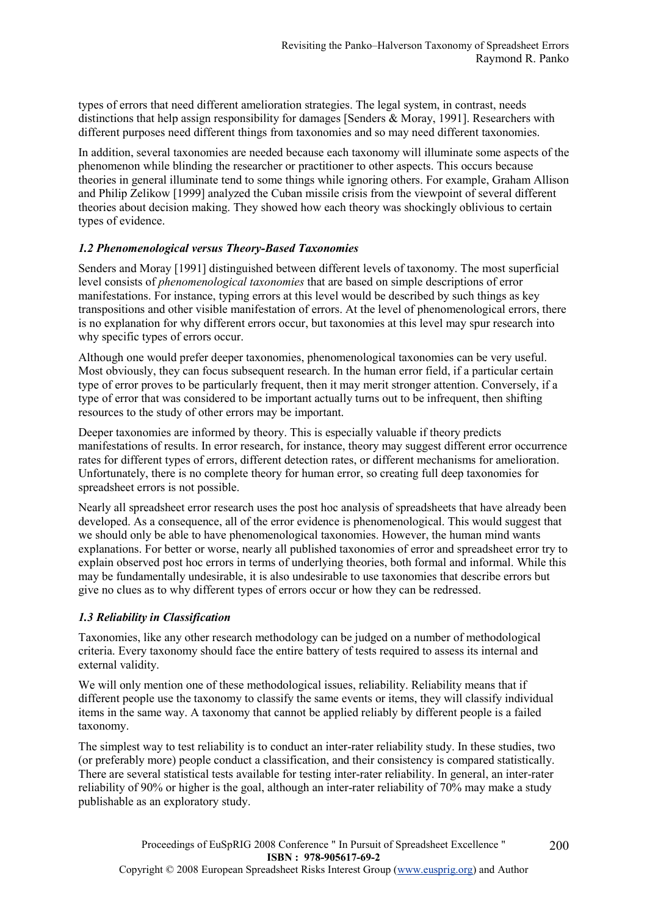types of errors that need different amelioration strategies. The legal system, in contrast, needs distinctions that help assign responsibility for damages [Senders & Moray, 1991]. Researchers with different purposes need different things from taxonomies and so may need different taxonomies.

In addition, several taxonomies are needed because each taxonomy will illuminate some aspects of the phenomenon while blinding the researcher or practitioner to other aspects. This occurs because theories in general illuminate tend to some things while ignoring others. For example, Graham Allison and Philip Zelikow [1999] analyzed the Cuban missile crisis from the viewpoint of several different theories about decision making. They showed how each theory was shockingly oblivious to certain types of evidence.

## 1.2 Phenomenological versus Theory-Based Taxonomies

Senders and Moray [1991] distinguished between different levels of taxonomy. The most superficial level consists of phenomenological taxonomies that are based on simple descriptions of error manifestations. For instance, typing errors at this level would be described by such things as key transpositions and other visible manifestation of errors. At the level of phenomenological errors, there is no explanation for why different errors occur, but taxonomies at this level may spur research into why specific types of errors occur.

Although one would prefer deeper taxonomies, phenomenological taxonomies can be very useful. Most obviously, they can focus subsequent research. In the human error field, if a particular certain type of error proves to be particularly frequent, then it may merit stronger attention. Conversely, if a type of error that was considered to be important actually turns out to be infrequent, then shifting resources to the study of other errors may be important.

Deeper taxonomies are informed by theory. This is especially valuable if theory predicts manifestations of results. In error research, for instance, theory may suggest different error occurrence rates for different types of errors, different detection rates, or different mechanisms for amelioration. Unfortunately, there is no complete theory for human error, so creating full deep taxonomies for spreadsheet errors is not possible.

Nearly all spreadsheet error research uses the post hoc analysis of spreadsheets that have already been developed. As a consequence, all of the error evidence is phenomenological. This would suggest that we should only be able to have phenomenological taxonomies. However, the human mind wants explanations. For better or worse, nearly all published taxonomies of error and spreadsheet error try to explain observed post hoc errors in terms of underlying theories, both formal and informal. While this may be fundamentally undesirable, it is also undesirable to use taxonomies that describe errors but give no clues as to why different types of errors occur or how they can be redressed.

## 1.3 Reliability in Classification

Taxonomies, like any other research methodology can be judged on a number of methodological criteria. Every taxonomy should face the entire battery of tests required to assess its internal and external validity.

We will only mention one of these methodological issues, reliability. Reliability means that if different people use the taxonomy to classify the same events or items, they will classify individual items in the same way. A taxonomy that cannot be applied reliably by different people is a failed taxonomy.

The simplest way to test reliability is to conduct an inter-rater reliability study. In these studies, two (or preferably more) people conduct a classification, and their consistency is compared statistically. There are several statistical tests available for testing inter-rater reliability. In general, an inter-rater reliability of 90% or higher is the goal, although an inter-rater reliability of 70% may make a study publishable as an exploratory study.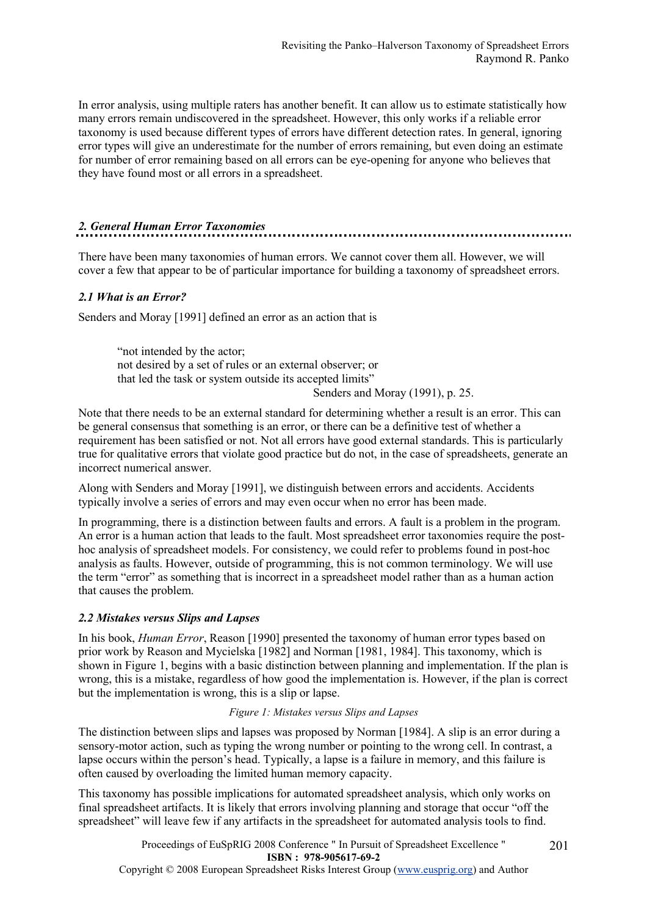In error analysis, using multiple raters has another benefit. It can allow us to estimate statistically how many errors remain undiscovered in the spreadsheet. However, this only works if a reliable error taxonomy is used because different types of errors have different detection rates. In general, ignoring error types will give an underestimate for the number of errors remaining, but even doing an estimate for number of error remaining based on all errors can be eye-opening for anyone who believes that they have found most or all errors in a spreadsheet.

# 2. General Human Error Taxonomies

There have been many taxonomies of human errors. We cannot cover them all. However, we will cover a few that appear to be of particular importance for building a taxonomy of spreadsheet errors.

## 2.1 What is an Error?

Senders and Moray [1991] defined an error as an action that is

"not intended by the actor; not desired by a set of rules or an external observer; or that led the task or system outside its accepted limits"

Senders and Moray (1991), p. 25.

Note that there needs to be an external standard for determining whether a result is an error. This can be general consensus that something is an error, or there can be a definitive test of whether a requirement has been satisfied or not. Not all errors have good external standards. This is particularly true for qualitative errors that violate good practice but do not, in the case of spreadsheets, generate an incorrect numerical answer.

Along with Senders and Moray [1991], we distinguish between errors and accidents. Accidents typically involve a series of errors and may even occur when no error has been made.

In programming, there is a distinction between faults and errors. A fault is a problem in the program. An error is a human action that leads to the fault. Most spreadsheet error taxonomies require the posthoc analysis of spreadsheet models. For consistency, we could refer to problems found in post-hoc analysis as faults. However, outside of programming, this is not common terminology. We will use the term "error" as something that is incorrect in a spreadsheet model rather than as a human action that causes the problem.

## 2.2 Mistakes versus Slips and Lapses

In his book, *Human Error*, Reason [1990] presented the taxonomy of human error types based on prior work by Reason and Mycielska [1982] and Norman [1981, 1984]. This taxonomy, which is shown in Figure 1, begins with a basic distinction between planning and implementation. If the plan is wrong, this is a mistake, regardless of how good the implementation is. However, if the plan is correct but the implementation is wrong, this is a slip or lapse.

#### Figure 1: Mistakes versus Slips and Lapses

The distinction between slips and lapses was proposed by Norman [1984]. A slip is an error during a sensory-motor action, such as typing the wrong number or pointing to the wrong cell. In contrast, a lapse occurs within the person's head. Typically, a lapse is a failure in memory, and this failure is often caused by overloading the limited human memory capacity.

This taxonomy has possible implications for automated spreadsheet analysis, which only works on final spreadsheet artifacts. It is likely that errors involving planning and storage that occur "off the spreadsheet" will leave few if any artifacts in the spreadsheet for automated analysis tools to find.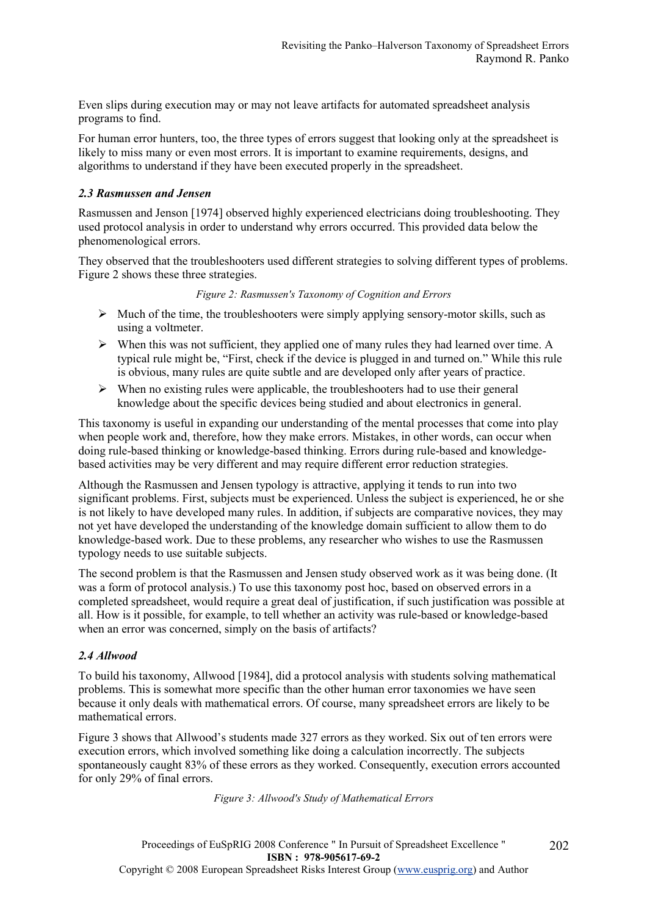Even slips during execution may or may not leave artifacts for automated spreadsheet analysis programs to find.

For human error hunters, too, the three types of errors suggest that looking only at the spreadsheet is likely to miss many or even most errors. It is important to examine requirements, designs, and algorithms to understand if they have been executed properly in the spreadsheet.

#### 2.3 Rasmussen and Jensen

Rasmussen and Jenson [1974] observed highly experienced electricians doing troubleshooting. They used protocol analysis in order to understand why errors occurred. This provided data below the phenomenological errors.

They observed that the troubleshooters used different strategies to solving different types of problems. Figure 2 shows these three strategies.

#### Figure 2: Rasmussen's Taxonomy of Cognition and Errors

- $\triangleright$  Much of the time, the troubleshooters were simply applying sensory-motor skills, such as using a voltmeter.
- $\triangleright$  When this was not sufficient, they applied one of many rules they had learned over time. A typical rule might be, "First, check if the device is plugged in and turned on." While this rule is obvious, many rules are quite subtle and are developed only after years of practice.
- $\triangleright$  When no existing rules were applicable, the troubleshooters had to use their general knowledge about the specific devices being studied and about electronics in general.

This taxonomy is useful in expanding our understanding of the mental processes that come into play when people work and, therefore, how they make errors. Mistakes, in other words, can occur when doing rule-based thinking or knowledge-based thinking. Errors during rule-based and knowledgebased activities may be very different and may require different error reduction strategies.

Although the Rasmussen and Jensen typology is attractive, applying it tends to run into two significant problems. First, subjects must be experienced. Unless the subject is experienced, he or she is not likely to have developed many rules. In addition, if subjects are comparative novices, they may not yet have developed the understanding of the knowledge domain sufficient to allow them to do knowledge-based work. Due to these problems, any researcher who wishes to use the Rasmussen typology needs to use suitable subjects.

The second problem is that the Rasmussen and Jensen study observed work as it was being done. (It was a form of protocol analysis.) To use this taxonomy post hoc, based on observed errors in a completed spreadsheet, would require a great deal of justification, if such justification was possible at all. How is it possible, for example, to tell whether an activity was rule-based or knowledge-based when an error was concerned, simply on the basis of artifacts?

#### 2.4 Allwood

To build his taxonomy, Allwood [1984], did a protocol analysis with students solving mathematical problems. This is somewhat more specific than the other human error taxonomies we have seen because it only deals with mathematical errors. Of course, many spreadsheet errors are likely to be mathematical errors.

Figure 3 shows that Allwood's students made 327 errors as they worked. Six out of ten errors were execution errors, which involved something like doing a calculation incorrectly. The subjects spontaneously caught 83% of these errors as they worked. Consequently, execution errors accounted for only 29% of final errors.

Figure 3: Allwood's Study of Mathematical Errors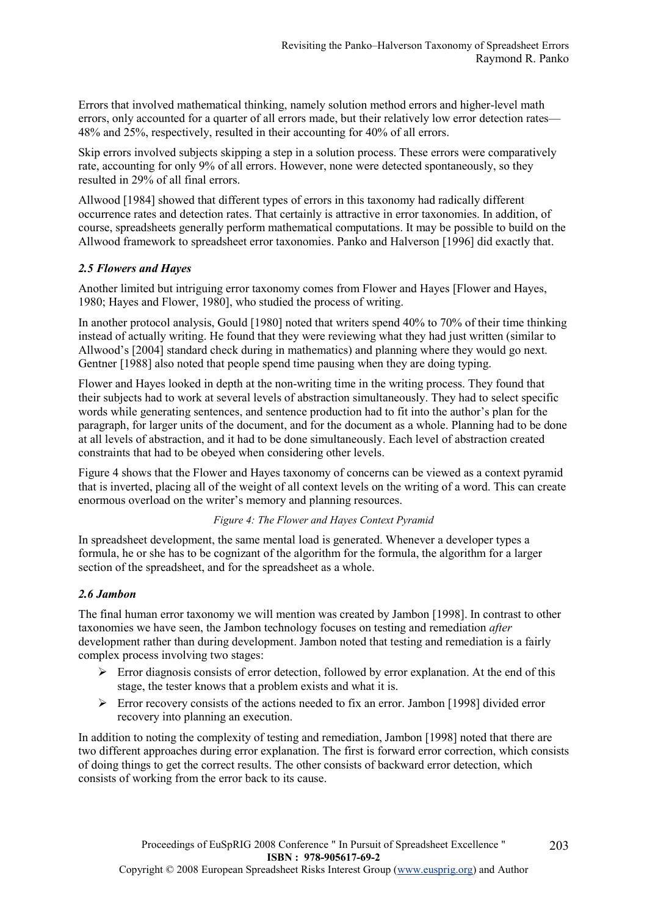Errors that involved mathematical thinking, namely solution method errors and higher-level math errors, only accounted for a quarter of all errors made, but their relatively low error detection rates— 48% and 25%, respectively, resulted in their accounting for 40% of all errors.

Skip errors involved subjects skipping a step in a solution process. These errors were comparatively rate, accounting for only 9% of all errors. However, none were detected spontaneously, so they resulted in 29% of all final errors.

Allwood [1984] showed that different types of errors in this taxonomy had radically different occurrence rates and detection rates. That certainly is attractive in error taxonomies. In addition, of course, spreadsheets generally perform mathematical computations. It may be possible to build on the Allwood framework to spreadsheet error taxonomies. Panko and Halverson [1996] did exactly that.

## 2.5 Flowers and Hayes

Another limited but intriguing error taxonomy comes from Flower and Hayes [Flower and Hayes, 1980; Hayes and Flower, 1980], who studied the process of writing.

In another protocol analysis, Gould [1980] noted that writers spend 40% to 70% of their time thinking instead of actually writing. He found that they were reviewing what they had just written (similar to Allwood's [2004] standard check during in mathematics) and planning where they would go next. Gentner [1988] also noted that people spend time pausing when they are doing typing.

Flower and Hayes looked in depth at the non-writing time in the writing process. They found that their subjects had to work at several levels of abstraction simultaneously. They had to select specific words while generating sentences, and sentence production had to fit into the author's plan for the paragraph, for larger units of the document, and for the document as a whole. Planning had to be done at all levels of abstraction, and it had to be done simultaneously. Each level of abstraction created constraints that had to be obeyed when considering other levels.

Figure 4 shows that the Flower and Hayes taxonomy of concerns can be viewed as a context pyramid that is inverted, placing all of the weight of all context levels on the writing of a word. This can create enormous overload on the writer's memory and planning resources.

## Figure 4: The Flower and Hayes Context Pyramid

In spreadsheet development, the same mental load is generated. Whenever a developer types a formula, he or she has to be cognizant of the algorithm for the formula, the algorithm for a larger section of the spreadsheet, and for the spreadsheet as a whole.

## 2.6 Jambon

The final human error taxonomy we will mention was created by Jambon [1998]. In contrast to other taxonomies we have seen, the Jambon technology focuses on testing and remediation after development rather than during development. Jambon noted that testing and remediation is a fairly complex process involving two stages:

- $\triangleright$  Error diagnosis consists of error detection, followed by error explanation. At the end of this stage, the tester knows that a problem exists and what it is.
- Error recovery consists of the actions needed to fix an error. Jambon [1998] divided error recovery into planning an execution.

In addition to noting the complexity of testing and remediation, Jambon [1998] noted that there are two different approaches during error explanation. The first is forward error correction, which consists of doing things to get the correct results. The other consists of backward error detection, which consists of working from the error back to its cause.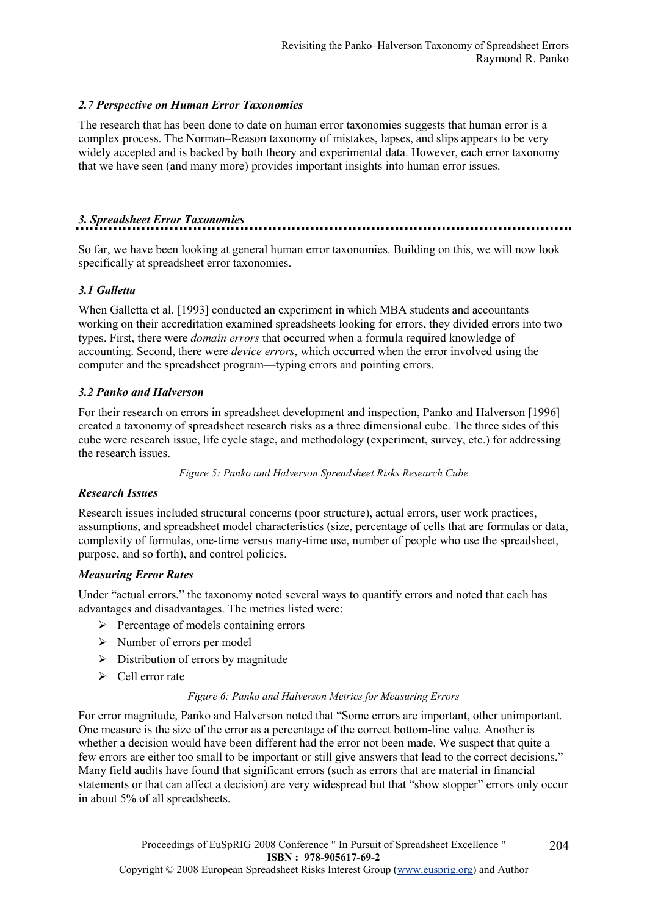# 2.7 Perspective on Human Error Taxonomies

The research that has been done to date on human error taxonomies suggests that human error is a complex process. The Norman–Reason taxonomy of mistakes, lapses, and slips appears to be very widely accepted and is backed by both theory and experimental data. However, each error taxonomy that we have seen (and many more) provides important insights into human error issues.

# 3. Spreadsheet Error Taxonomies

specifically at spreadsheet error taxonomies.

So far, we have been looking at general human error taxonomies. Building on this, we will now look

#### 3.1 Galletta

When Galletta et al. [1993] conducted an experiment in which MBA students and accountants working on their accreditation examined spreadsheets looking for errors, they divided errors into two types. First, there were domain errors that occurred when a formula required knowledge of accounting. Second, there were *device errors*, which occurred when the error involved using the computer and the spreadsheet program—typing errors and pointing errors.

#### 3.2 Panko and Halverson

For their research on errors in spreadsheet development and inspection, Panko and Halverson [1996] created a taxonomy of spreadsheet research risks as a three dimensional cube. The three sides of this cube were research issue, life cycle stage, and methodology (experiment, survey, etc.) for addressing the research issues.

Figure 5: Panko and Halverson Spreadsheet Risks Research Cube

#### Research Issues

Research issues included structural concerns (poor structure), actual errors, user work practices, assumptions, and spreadsheet model characteristics (size, percentage of cells that are formulas or data, complexity of formulas, one-time versus many-time use, number of people who use the spreadsheet, purpose, and so forth), and control policies.

#### Measuring Error Rates

Under "actual errors," the taxonomy noted several ways to quantify errors and noted that each has advantages and disadvantages. The metrics listed were:

- $\triangleright$  Percentage of models containing errors
- $\triangleright$  Number of errors per model
- $\triangleright$  Distribution of errors by magnitude
- $\triangleright$  Cell error rate

#### Figure 6: Panko and Halverson Metrics for Measuring Errors

For error magnitude, Panko and Halverson noted that "Some errors are important, other unimportant. One measure is the size of the error as a percentage of the correct bottom-line value. Another is whether a decision would have been different had the error not been made. We suspect that quite a few errors are either too small to be important or still give answers that lead to the correct decisions." Many field audits have found that significant errors (such as errors that are material in financial statements or that can affect a decision) are very widespread but that "show stopper" errors only occur in about 5% of all spreadsheets.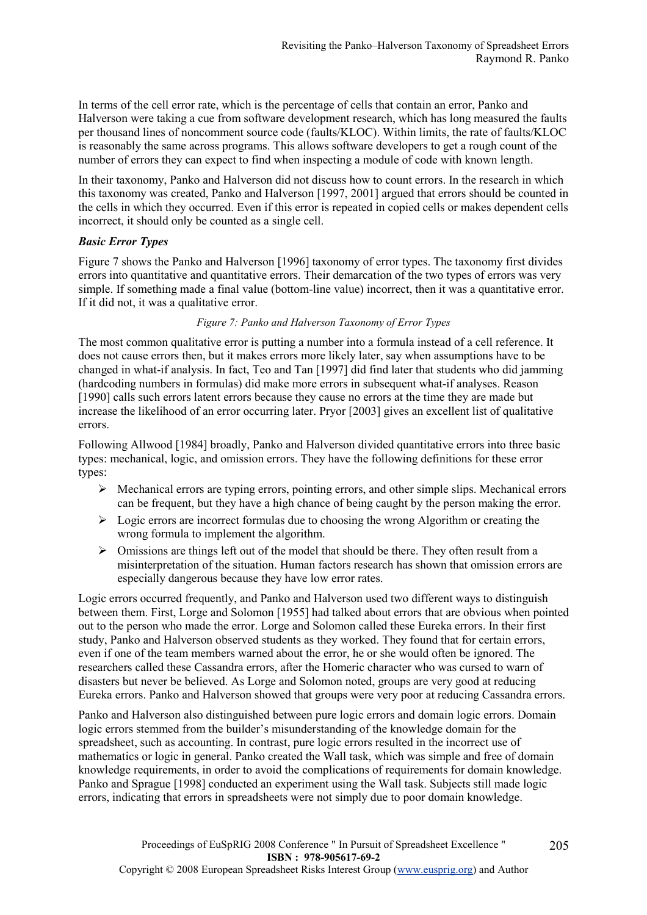In terms of the cell error rate, which is the percentage of cells that contain an error, Panko and Halverson were taking a cue from software development research, which has long measured the faults per thousand lines of noncomment source code (faults/KLOC). Within limits, the rate of faults/KLOC is reasonably the same across programs. This allows software developers to get a rough count of the number of errors they can expect to find when inspecting a module of code with known length.

In their taxonomy, Panko and Halverson did not discuss how to count errors. In the research in which this taxonomy was created, Panko and Halverson [1997, 2001] argued that errors should be counted in the cells in which they occurred. Even if this error is repeated in copied cells or makes dependent cells incorrect, it should only be counted as a single cell.

## Basic Error Types

Figure 7 shows the Panko and Halverson [1996] taxonomy of error types. The taxonomy first divides errors into quantitative and quantitative errors. Their demarcation of the two types of errors was very simple. If something made a final value (bottom-line value) incorrect, then it was a quantitative error. If it did not, it was a qualitative error.

## Figure 7: Panko and Halverson Taxonomy of Error Types

The most common qualitative error is putting a number into a formula instead of a cell reference. It does not cause errors then, but it makes errors more likely later, say when assumptions have to be changed in what-if analysis. In fact, Teo and Tan [1997] did find later that students who did jamming (hardcoding numbers in formulas) did make more errors in subsequent what-if analyses. Reason [1990] calls such errors latent errors because they cause no errors at the time they are made but increase the likelihood of an error occurring later. Pryor [2003] gives an excellent list of qualitative errors.

Following Allwood [1984] broadly, Panko and Halverson divided quantitative errors into three basic types: mechanical, logic, and omission errors. They have the following definitions for these error types:

- $\triangleright$  Mechanical errors are typing errors, pointing errors, and other simple slips. Mechanical errors can be frequent, but they have a high chance of being caught by the person making the error.
- $\triangleright$  Logic errors are incorrect formulas due to choosing the wrong Algorithm or creating the wrong formula to implement the algorithm.
- $\triangleright$  Omissions are things left out of the model that should be there. They often result from a misinterpretation of the situation. Human factors research has shown that omission errors are especially dangerous because they have low error rates.

Logic errors occurred frequently, and Panko and Halverson used two different ways to distinguish between them. First, Lorge and Solomon [1955] had talked about errors that are obvious when pointed out to the person who made the error. Lorge and Solomon called these Eureka errors. In their first study, Panko and Halverson observed students as they worked. They found that for certain errors, even if one of the team members warned about the error, he or she would often be ignored. The researchers called these Cassandra errors, after the Homeric character who was cursed to warn of disasters but never be believed. As Lorge and Solomon noted, groups are very good at reducing Eureka errors. Panko and Halverson showed that groups were very poor at reducing Cassandra errors.

Panko and Halverson also distinguished between pure logic errors and domain logic errors. Domain logic errors stemmed from the builder's misunderstanding of the knowledge domain for the spreadsheet, such as accounting. In contrast, pure logic errors resulted in the incorrect use of mathematics or logic in general. Panko created the Wall task, which was simple and free of domain knowledge requirements, in order to avoid the complications of requirements for domain knowledge. Panko and Sprague [1998] conducted an experiment using the Wall task. Subjects still made logic errors, indicating that errors in spreadsheets were not simply due to poor domain knowledge.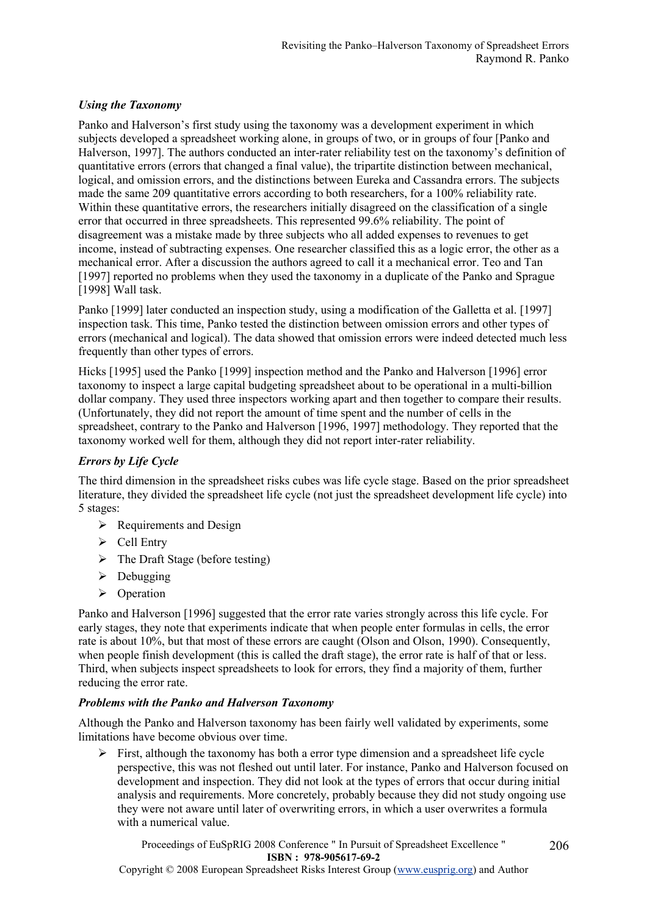## Using the Taxonomy

Panko and Halverson's first study using the taxonomy was a development experiment in which subjects developed a spreadsheet working alone, in groups of two, or in groups of four [Panko and Halverson, 1997]. The authors conducted an inter-rater reliability test on the taxonomy's definition of quantitative errors (errors that changed a final value), the tripartite distinction between mechanical, logical, and omission errors, and the distinctions between Eureka and Cassandra errors. The subjects made the same 209 quantitative errors according to both researchers, for a 100% reliability rate. Within these quantitative errors, the researchers initially disagreed on the classification of a single error that occurred in three spreadsheets. This represented 99.6% reliability. The point of disagreement was a mistake made by three subjects who all added expenses to revenues to get income, instead of subtracting expenses. One researcher classified this as a logic error, the other as a mechanical error. After a discussion the authors agreed to call it a mechanical error. Teo and Tan [1997] reported no problems when they used the taxonomy in a duplicate of the Panko and Sprague [1998] Wall task.

Panko [1999] later conducted an inspection study, using a modification of the Galletta et al. [1997] inspection task. This time, Panko tested the distinction between omission errors and other types of errors (mechanical and logical). The data showed that omission errors were indeed detected much less frequently than other types of errors.

Hicks [1995] used the Panko [1999] inspection method and the Panko and Halverson [1996] error taxonomy to inspect a large capital budgeting spreadsheet about to be operational in a multi-billion dollar company. They used three inspectors working apart and then together to compare their results. (Unfortunately, they did not report the amount of time spent and the number of cells in the spreadsheet, contrary to the Panko and Halverson [1996, 1997] methodology. They reported that the taxonomy worked well for them, although they did not report inter-rater reliability.

#### Errors by Life Cycle

The third dimension in the spreadsheet risks cubes was life cycle stage. Based on the prior spreadsheet literature, they divided the spreadsheet life cycle (not just the spreadsheet development life cycle) into 5 stages:

- $\triangleright$  Requirements and Design
- $\triangleright$  Cell Entry
- $\triangleright$  The Draft Stage (before testing)
- $\triangleright$  Debugging
- $\triangleright$  Operation

Panko and Halverson [1996] suggested that the error rate varies strongly across this life cycle. For early stages, they note that experiments indicate that when people enter formulas in cells, the error rate is about 10%, but that most of these errors are caught (Olson and Olson, 1990). Consequently, when people finish development (this is called the draft stage), the error rate is half of that or less. Third, when subjects inspect spreadsheets to look for errors, they find a majority of them, further reducing the error rate.

#### Problems with the Panko and Halverson Taxonomy

Although the Panko and Halverson taxonomy has been fairly well validated by experiments, some limitations have become obvious over time.

 $\triangleright$  First, although the taxonomy has both a error type dimension and a spreadsheet life cycle perspective, this was not fleshed out until later. For instance, Panko and Halverson focused on development and inspection. They did not look at the types of errors that occur during initial analysis and requirements. More concretely, probably because they did not study ongoing use they were not aware until later of overwriting errors, in which a user overwrites a formula with a numerical value.

Proceedings of EuSpRIG 2008 Conference " In Pursuit of Spreadsheet Excellence " ISBN : 978-905617-69-2 Copyright © 2008 European Spreadsheet Risks Interest Group (www.eusprig.org) and Author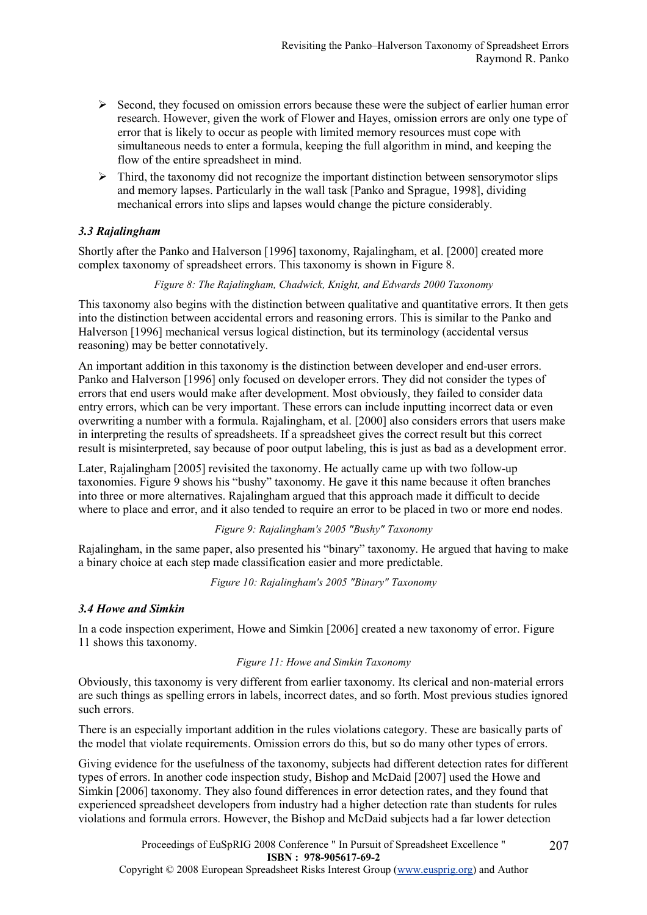- $\triangleright$  Second, they focused on omission errors because these were the subject of earlier human error research. However, given the work of Flower and Hayes, omission errors are only one type of error that is likely to occur as people with limited memory resources must cope with simultaneous needs to enter a formula, keeping the full algorithm in mind, and keeping the flow of the entire spreadsheet in mind.
- $\triangleright$  Third, the taxonomy did not recognize the important distinction between sensorymotor slips and memory lapses. Particularly in the wall task [Panko and Sprague, 1998], dividing mechanical errors into slips and lapses would change the picture considerably.

## 3.3 Rajalingham

Shortly after the Panko and Halverson [1996] taxonomy, Rajalingham, et al. [2000] created more complex taxonomy of spreadsheet errors. This taxonomy is shown in Figure 8.

#### Figure 8: The Rajalingham, Chadwick, Knight, and Edwards 2000 Taxonomy

This taxonomy also begins with the distinction between qualitative and quantitative errors. It then gets into the distinction between accidental errors and reasoning errors. This is similar to the Panko and Halverson [1996] mechanical versus logical distinction, but its terminology (accidental versus reasoning) may be better connotatively.

An important addition in this taxonomy is the distinction between developer and end-user errors. Panko and Halverson [1996] only focused on developer errors. They did not consider the types of errors that end users would make after development. Most obviously, they failed to consider data entry errors, which can be very important. These errors can include inputting incorrect data or even overwriting a number with a formula. Rajalingham, et al. [2000] also considers errors that users make in interpreting the results of spreadsheets. If a spreadsheet gives the correct result but this correct result is misinterpreted, say because of poor output labeling, this is just as bad as a development error.

Later, Rajalingham [2005] revisited the taxonomy. He actually came up with two follow-up taxonomies. Figure 9 shows his "bushy" taxonomy. He gave it this name because it often branches into three or more alternatives. Rajalingham argued that this approach made it difficult to decide where to place and error, and it also tended to require an error to be placed in two or more end nodes.

#### Figure 9: Rajalingham's 2005 "Bushy" Taxonomy

Rajalingham, in the same paper, also presented his "binary" taxonomy. He argued that having to make a binary choice at each step made classification easier and more predictable.

Figure 10: Rajalingham's 2005 "Binary" Taxonomy

#### 3.4 Howe and Simkin

In a code inspection experiment, Howe and Simkin [2006] created a new taxonomy of error. Figure 11 shows this taxonomy.

#### Figure 11: Howe and Simkin Taxonomy

Obviously, this taxonomy is very different from earlier taxonomy. Its clerical and non-material errors are such things as spelling errors in labels, incorrect dates, and so forth. Most previous studies ignored such errors.

There is an especially important addition in the rules violations category. These are basically parts of the model that violate requirements. Omission errors do this, but so do many other types of errors.

Giving evidence for the usefulness of the taxonomy, subjects had different detection rates for different types of errors. In another code inspection study, Bishop and McDaid [2007] used the Howe and Simkin [2006] taxonomy. They also found differences in error detection rates, and they found that experienced spreadsheet developers from industry had a higher detection rate than students for rules violations and formula errors. However, the Bishop and McDaid subjects had a far lower detection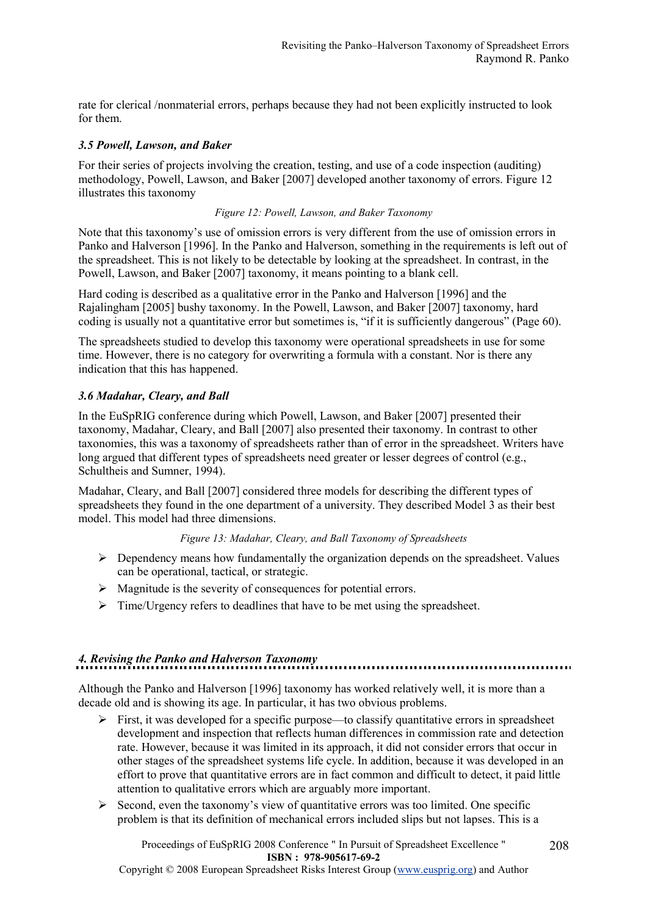rate for clerical /nonmaterial errors, perhaps because they had not been explicitly instructed to look for them.

#### 3.5 Powell, Lawson, and Baker

For their series of projects involving the creation, testing, and use of a code inspection (auditing) methodology, Powell, Lawson, and Baker [2007] developed another taxonomy of errors. Figure 12 illustrates this taxonomy

#### Figure 12: Powell, Lawson, and Baker Taxonomy

Note that this taxonomy's use of omission errors is very different from the use of omission errors in Panko and Halverson [1996]. In the Panko and Halverson, something in the requirements is left out of the spreadsheet. This is not likely to be detectable by looking at the spreadsheet. In contrast, in the Powell, Lawson, and Baker [2007] taxonomy, it means pointing to a blank cell.

Hard coding is described as a qualitative error in the Panko and Halverson [1996] and the Rajalingham [2005] bushy taxonomy. In the Powell, Lawson, and Baker [2007] taxonomy, hard coding is usually not a quantitative error but sometimes is, "if it is sufficiently dangerous" (Page 60).

The spreadsheets studied to develop this taxonomy were operational spreadsheets in use for some time. However, there is no category for overwriting a formula with a constant. Nor is there any indication that this has happened.

#### 3.6 Madahar, Cleary, and Ball

In the EuSpRIG conference during which Powell, Lawson, and Baker [2007] presented their taxonomy, Madahar, Cleary, and Ball [2007] also presented their taxonomy. In contrast to other taxonomies, this was a taxonomy of spreadsheets rather than of error in the spreadsheet. Writers have long argued that different types of spreadsheets need greater or lesser degrees of control (e.g., Schultheis and Sumner, 1994).

Madahar, Cleary, and Ball [2007] considered three models for describing the different types of spreadsheets they found in the one department of a university. They described Model 3 as their best model. This model had three dimensions.

#### Figure 13: Madahar, Cleary, and Ball Taxonomy of Spreadsheets

- $\triangleright$  Dependency means how fundamentally the organization depends on the spreadsheet. Values can be operational, tactical, or strategic.
- $\triangleright$  Magnitude is the severity of consequences for potential errors.
- $\triangleright$  Time/Urgency refers to deadlines that have to be met using the spreadsheet.

# 4. Revising the Panko and Halverson Taxonomy

Although the Panko and Halverson [1996] taxonomy has worked relatively well, it is more than a decade old and is showing its age. In particular, it has two obvious problems.

- $\triangleright$  First, it was developed for a specific purpose—to classify quantitative errors in spreadsheet development and inspection that reflects human differences in commission rate and detection rate. However, because it was limited in its approach, it did not consider errors that occur in other stages of the spreadsheet systems life cycle. In addition, because it was developed in an effort to prove that quantitative errors are in fact common and difficult to detect, it paid little attention to qualitative errors which are arguably more important.
- $\triangleright$  Second, even the taxonomy's view of quantitative errors was too limited. One specific problem is that its definition of mechanical errors included slips but not lapses. This is a

Copyright © 2008 European Spreadsheet Risks Interest Group (www.eusprig.org) and Author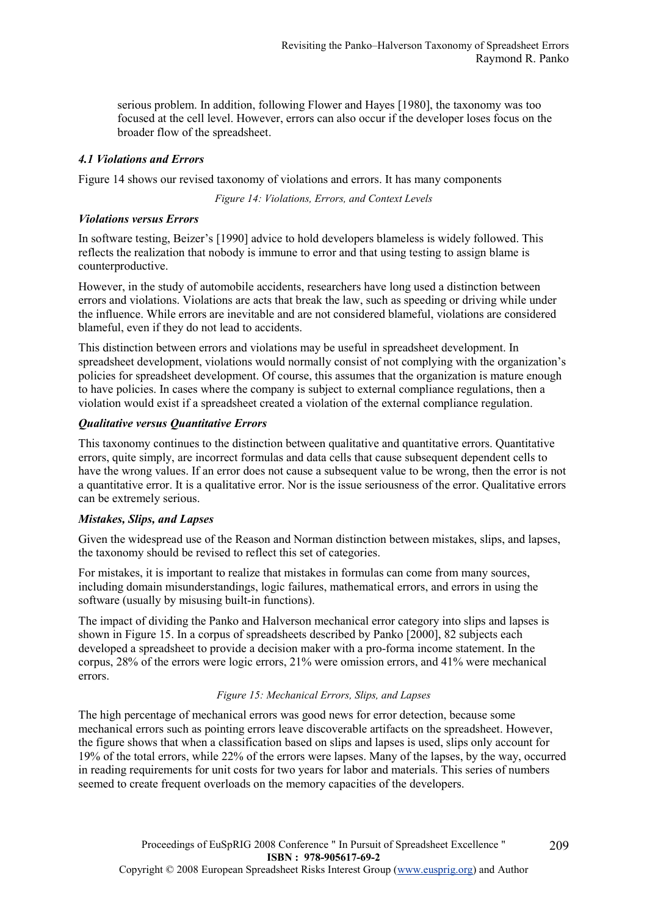serious problem. In addition, following Flower and Hayes [1980], the taxonomy was too focused at the cell level. However, errors can also occur if the developer loses focus on the broader flow of the spreadsheet.

## 4.1 Violations and Errors

Figure 14 shows our revised taxonomy of violations and errors. It has many components

Figure 14: Violations, Errors, and Context Levels

#### Violations versus Errors

In software testing, Beizer's [1990] advice to hold developers blameless is widely followed. This reflects the realization that nobody is immune to error and that using testing to assign blame is counterproductive.

However, in the study of automobile accidents, researchers have long used a distinction between errors and violations. Violations are acts that break the law, such as speeding or driving while under the influence. While errors are inevitable and are not considered blameful, violations are considered blameful, even if they do not lead to accidents.

This distinction between errors and violations may be useful in spreadsheet development. In spreadsheet development, violations would normally consist of not complying with the organization's policies for spreadsheet development. Of course, this assumes that the organization is mature enough to have policies. In cases where the company is subject to external compliance regulations, then a violation would exist if a spreadsheet created a violation of the external compliance regulation.

#### Qualitative versus Quantitative Errors

This taxonomy continues to the distinction between qualitative and quantitative errors. Quantitative errors, quite simply, are incorrect formulas and data cells that cause subsequent dependent cells to have the wrong values. If an error does not cause a subsequent value to be wrong, then the error is not a quantitative error. It is a qualitative error. Nor is the issue seriousness of the error. Qualitative errors can be extremely serious.

## Mistakes, Slips, and Lapses

Given the widespread use of the Reason and Norman distinction between mistakes, slips, and lapses, the taxonomy should be revised to reflect this set of categories.

For mistakes, it is important to realize that mistakes in formulas can come from many sources, including domain misunderstandings, logic failures, mathematical errors, and errors in using the software (usually by misusing built-in functions).

The impact of dividing the Panko and Halverson mechanical error category into slips and lapses is shown in Figure 15. In a corpus of spreadsheets described by Panko [2000], 82 subjects each developed a spreadsheet to provide a decision maker with a pro-forma income statement. In the corpus, 28% of the errors were logic errors, 21% were omission errors, and 41% were mechanical errors.

#### Figure 15: Mechanical Errors, Slips, and Lapses

The high percentage of mechanical errors was good news for error detection, because some mechanical errors such as pointing errors leave discoverable artifacts on the spreadsheet. However, the figure shows that when a classification based on slips and lapses is used, slips only account for 19% of the total errors, while 22% of the errors were lapses. Many of the lapses, by the way, occurred in reading requirements for unit costs for two years for labor and materials. This series of numbers seemed to create frequent overloads on the memory capacities of the developers.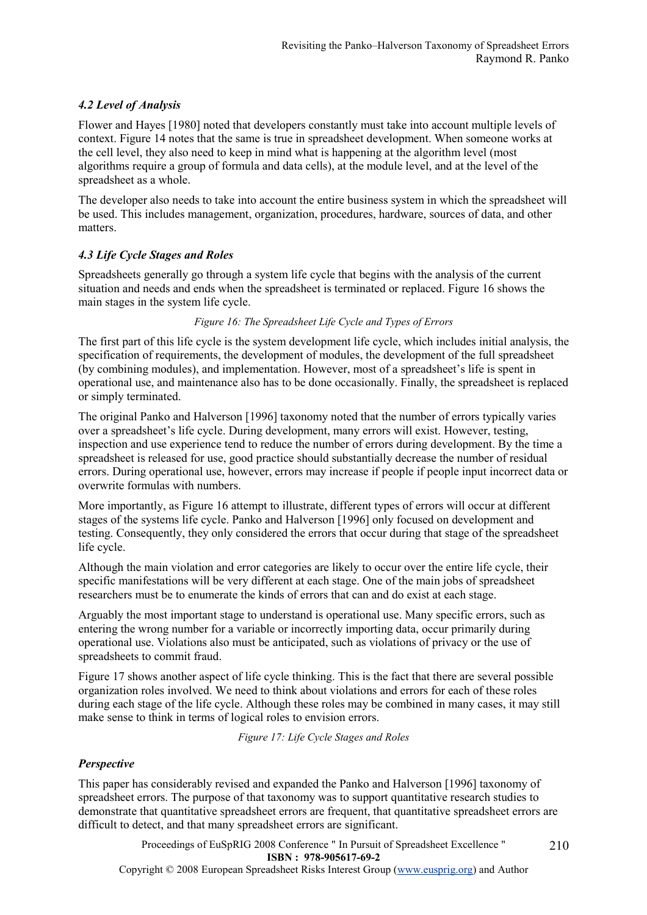# 4.2 Level of Analysis

Flower and Hayes [1980] noted that developers constantly must take into account multiple levels of context. Figure 14 notes that the same is true in spreadsheet development. When someone works at the cell level, they also need to keep in mind what is happening at the algorithm level (most algorithms require a group of formula and data cells), at the module level, and at the level of the spreadsheet as a whole.

The developer also needs to take into account the entire business system in which the spreadsheet will be used. This includes management, organization, procedures, hardware, sources of data, and other matters.

# 4.3 Life Cycle Stages and Roles

Spreadsheets generally go through a system life cycle that begins with the analysis of the current situation and needs and ends when the spreadsheet is terminated or replaced. Figure 16 shows the main stages in the system life cycle.

#### Figure 16: The Spreadsheet Life Cycle and Types of Errors

The first part of this life cycle is the system development life cycle, which includes initial analysis, the specification of requirements, the development of modules, the development of the full spreadsheet (by combining modules), and implementation. However, most of a spreadsheet's life is spent in operational use, and maintenance also has to be done occasionally. Finally, the spreadsheet is replaced or simply terminated.

The original Panko and Halverson [1996] taxonomy noted that the number of errors typically varies over a spreadsheet's life cycle. During development, many errors will exist. However, testing, inspection and use experience tend to reduce the number of errors during development. By the time a spreadsheet is released for use, good practice should substantially decrease the number of residual errors. During operational use, however, errors may increase if people if people input incorrect data or overwrite formulas with numbers.

More importantly, as Figure 16 attempt to illustrate, different types of errors will occur at different stages of the systems life cycle. Panko and Halverson [1996] only focused on development and testing. Consequently, they only considered the errors that occur during that stage of the spreadsheet life cycle.

Although the main violation and error categories are likely to occur over the entire life cycle, their specific manifestations will be very different at each stage. One of the main jobs of spreadsheet researchers must be to enumerate the kinds of errors that can and do exist at each stage.

Arguably the most important stage to understand is operational use. Many specific errors, such as entering the wrong number for a variable or incorrectly importing data, occur primarily during operational use. Violations also must be anticipated, such as violations of privacy or the use of spreadsheets to commit fraud.

Figure 17 shows another aspect of life cycle thinking. This is the fact that there are several possible organization roles involved. We need to think about violations and errors for each of these roles during each stage of the life cycle. Although these roles may be combined in many cases, it may still make sense to think in terms of logical roles to envision errors.

Figure 17: Life Cycle Stages and Roles

## **Perspective**

This paper has considerably revised and expanded the Panko and Halverson [1996] taxonomy of spreadsheet errors. The purpose of that taxonomy was to support quantitative research studies to demonstrate that quantitative spreadsheet errors are frequent, that quantitative spreadsheet errors are difficult to detect, and that many spreadsheet errors are significant.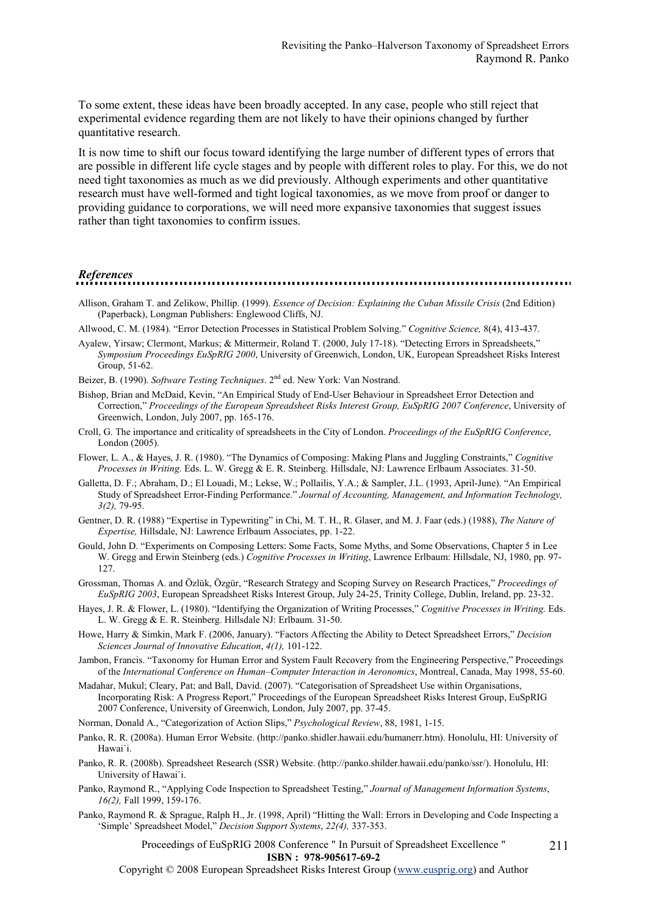To some extent, these ideas have been broadly accepted. In any case, people who still reject that experimental evidence regarding them are not likely to have their opinions changed by further quantitative research.

It is now time to shift our focus toward identifying the large number of different types of errors that are possible in different life cycle stages and by people with different roles to play. For this, we do not need tight taxonomies as much as we did previously. Although experiments and other quantitative research must have well-formed and tight logical taxonomies, as we move from proof or danger to providing guidance to corporations, we will need more expansive taxonomies that suggest issues rather than tight taxonomies to confirm issues.

# References

- Allison, Graham T. and Zelikow, Phillip. (1999). Essence of Decision: Explaining the Cuban Missile Crisis (2nd Edition) (Paperback), Longman Publishers: Englewood Cliffs, NJ.
- Allwood, C. M. (1984). "Error Detection Processes in Statistical Problem Solving." Cognitive Science, 8(4), 413-437.
- Ayalew, Yirsaw; Clermont, Markus; & Mittermeir, Roland T. (2000, July 17-18). "Detecting Errors in Spreadsheets," Symposium Proceedings EuSpRIG 2000, University of Greenwich, London, UK, European Spreadsheet Risks Interest Group, 51-62.
- Beizer, B. (1990). Software Testing Techniques. 2<sup>nd</sup> ed. New York: Van Nostrand.
- Bishop, Brian and McDaid, Kevin, "An Empirical Study of End-User Behaviour in Spreadsheet Error Detection and Correction," Proceedings of the European Spreadsheet Risks Interest Group, EuSpRIG 2007 Conference, University of Greenwich, London, July 2007, pp. 165-176.
- Croll, G. The importance and criticality of spreadsheets in the City of London. Proceedings of the EuSpRIG Conference, London (2005).
- Flower, L. A., & Hayes, J. R. (1980). "The Dynamics of Composing: Making Plans and Juggling Constraints," Cognitive Processes in Writing. Eds. L. W. Gregg & E. R. Steinberg. Hillsdale, NJ: Lawrence Erlbaum Associates. 31-50.
- Galletta, D. F.; Abraham, D.; El Louadi, M.; Lekse, W.; Pollailis, Y.A.; & Sampler, J.L. (1993, April-June). "An Empirical Study of Spreadsheet Error-Finding Performance." Journal of Accounting, Management, and Information Technology, 3(2), 79-95.
- Gentner, D. R. (1988) "Expertise in Typewriting" in Chi, M. T. H., R. Glaser, and M. J. Faar (eds.) (1988), The Nature of Expertise, Hillsdale, NJ: Lawrence Erlbaum Associates, pp. 1-22.
- Gould, John D. "Experiments on Composing Letters: Some Facts, Some Myths, and Some Observations, Chapter 5 in Lee W. Gregg and Erwin Steinberg (eds.) Cognitive Processes in Writing, Lawrence Erlbaum: Hillsdale, NJ, 1980, pp. 97-127.
- Grossman, Thomas A. and Özlük, Özgür, "Research Strategy and Scoping Survey on Research Practices," Proceedings of EuSpRIG 2003, European Spreadsheet Risks Interest Group, July 24-25, Trinity College, Dublin, Ireland, pp. 23-32.
- Hayes, J. R. & Flower, L. (1980). "Identifying the Organization of Writing Processes," Cognitive Processes in Writing. Eds. L. W. Gregg & E. R. Steinberg. Hillsdale NJ: Erlbaum. 31-50.
- Howe, Harry & Simkin, Mark F. (2006, January). "Factors Affecting the Ability to Detect Spreadsheet Errors," Decision Sciences Journal of Innovative Education, 4(1), 101-122.
- Jambon, Francis. "Taxonomy for Human Error and System Fault Recovery from the Engineering Perspective," Proceedings of the International Conference on Human–Computer Interaction in Aeronomics, Montreal, Canada, May 1998, 55-60.
- Madahar, Mukul; Cleary, Pat; and Ball, David. (2007). "Categorisation of Spreadsheet Use within Organisations, Incorporating Risk: A Progress Report," Proceedings of the European Spreadsheet Risks Interest Group, EuSpRIG 2007 Conference, University of Greenwich, London, July 2007, pp. 37-45.
- Norman, Donald A., "Categorization of Action Slips," Psychological Review, 88, 1981, 1-15.
- Panko, R. R. (2008a). Human Error Website. (http://panko.shidler.hawaii.edu/humanerr.htm). Honolulu, HI: University of Hawai`i.
- Panko, R. R. (2008b). Spreadsheet Research (SSR) Website. (http://panko.shilder.hawaii.edu/panko/ssr/). Honolulu, HI: University of Hawai`i.
- Panko, Raymond R., "Applying Code Inspection to Spreadsheet Testing," Journal of Management Information Systems, 16(2), Fall 1999, 159-176.
- Panko, Raymond R. & Sprague, Ralph H., Jr. (1998, April) "Hitting the Wall: Errors in Developing and Code Inspecting a 'Simple' Spreadsheet Model," Decision Support Systems, 22(4), 337-353.
	- Proceedings of EuSpRIG 2008 Conference " In Pursuit of Spreadsheet Excellence " ISBN : 978-905617-69-2

Copyright © 2008 European Spreadsheet Risks Interest Group (www.eusprig.org) and Author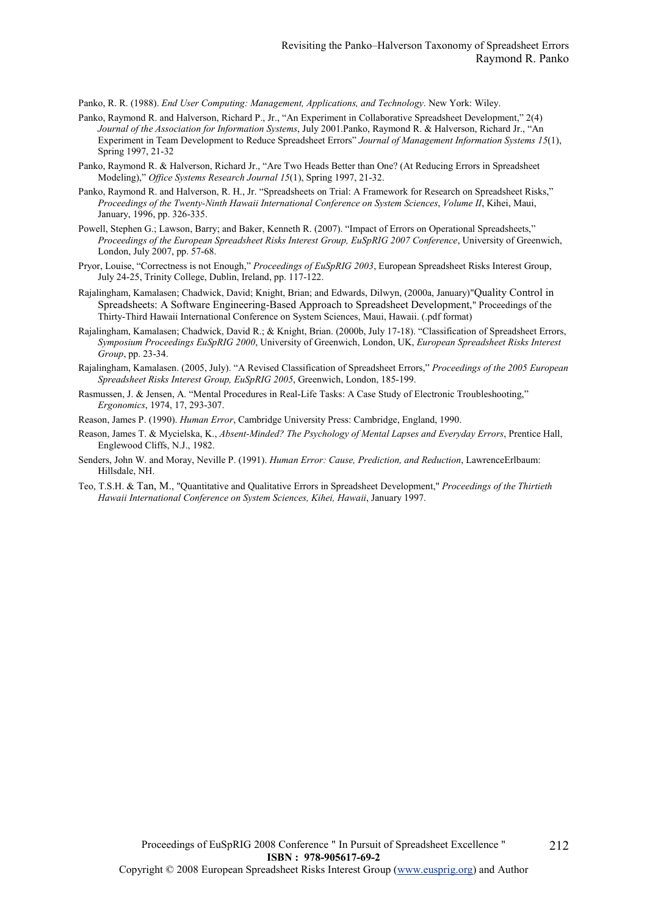Panko, R. R. (1988). End User Computing: Management, Applications, and Technology. New York: Wiley.

- Panko, Raymond R. and Halverson, Richard P., Jr., "An Experiment in Collaborative Spreadsheet Development," 2(4) Journal of the Association for Information Systems, July 2001.Panko, Raymond R. & Halverson, Richard Jr., "An Experiment in Team Development to Reduce Spreadsheet Errors" Journal of Management Information Systems 15(1), Spring 1997, 21-32
- Panko, Raymond R. & Halverson, Richard Jr., "Are Two Heads Better than One? (At Reducing Errors in Spreadsheet Modeling)," Office Systems Research Journal 15(1), Spring 1997, 21-32.
- Panko, Raymond R. and Halverson, R. H., Jr. "Spreadsheets on Trial: A Framework for Research on Spreadsheet Risks," Proceedings of the Twenty-Ninth Hawaii International Conference on System Sciences, Volume II, Kihei, Maui, January, 1996, pp. 326-335.
- Powell, Stephen G.; Lawson, Barry; and Baker, Kenneth R. (2007). "Impact of Errors on Operational Spreadsheets," Proceedings of the European Spreadsheet Risks Interest Group, EuSpRIG 2007 Conference, University of Greenwich, London, July 2007, pp. 57-68.
- Pryor, Louise, "Correctness is not Enough," Proceedings of EuSpRIG 2003, European Spreadsheet Risks Interest Group, July 24-25, Trinity College, Dublin, Ireland, pp. 117-122.
- Rajalingham, Kamalasen; Chadwick, David; Knight, Brian; and Edwards, Dilwyn, (2000a, January)"Quality Control in Spreadsheets: A Software Engineering-Based Approach to Spreadsheet Development," Proceedings of the Thirty-Third Hawaii International Conference on System Sciences, Maui, Hawaii. (.pdf format)
- Rajalingham, Kamalasen; Chadwick, David R.; & Knight, Brian. (2000b, July 17-18). "Classification of Spreadsheet Errors, Symposium Proceedings EuSpRIG 2000, University of Greenwich, London, UK, European Spreadsheet Risks Interest Group, pp. 23-34.
- Rajalingham, Kamalasen. (2005, July). "A Revised Classification of Spreadsheet Errors," Proceedings of the 2005 European Spreadsheet Risks Interest Group, EuSpRIG 2005, Greenwich, London, 185-199.
- Rasmussen, J. & Jensen, A. "Mental Procedures in Real-Life Tasks: A Case Study of Electronic Troubleshooting," Ergonomics, 1974, 17, 293-307.
- Reason, James P. (1990). Human Error, Cambridge University Press: Cambridge, England, 1990.
- Reason, James T. & Mycielska, K., Absent-Minded? The Psychology of Mental Lapses and Everyday Errors, Prentice Hall, Englewood Cliffs, N.J., 1982.
- Senders, John W. and Moray, Neville P. (1991). Human Error: Cause, Prediction, and Reduction, LawrenceErlbaum: Hillsdale, NH.
- Teo, T.S.H. & Tan, M., "Quantitative and Qualitative Errors in Spreadsheet Development," Proceedings of the Thirtieth Hawaii International Conference on System Sciences, Kihei, Hawaii, January 1997.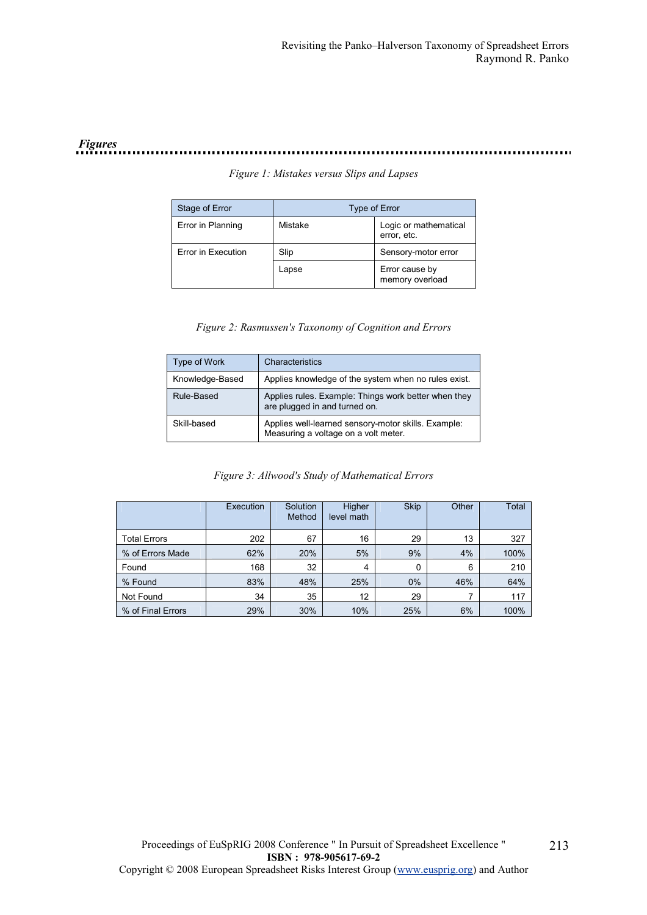#### Figures ......................................

Figure 1: Mistakes versus Slips and Lapses

| Stage of Error     | Type of Error                                   |                                   |  |  |
|--------------------|-------------------------------------------------|-----------------------------------|--|--|
| Error in Planning  | Logic or mathematical<br>Mistake<br>error, etc. |                                   |  |  |
| Error in Execution | Slip                                            | Sensory-motor error               |  |  |
|                    | Lapse                                           | Error cause by<br>memory overload |  |  |

#### Figure 2: Rasmussen's Taxonomy of Cognition and Errors

| Type of Work    | Characteristics                                                                             |
|-----------------|---------------------------------------------------------------------------------------------|
| Knowledge-Based | Applies knowledge of the system when no rules exist.                                        |
| Rule-Based      | Applies rules. Example: Things work better when they<br>are plugged in and turned on.       |
| Skill-based     | Applies well-learned sensory-motor skills. Example:<br>Measuring a voltage on a volt meter. |

Figure 3: Allwood's Study of Mathematical Errors

|                     | Execution | Solution<br>Method | Higher<br>level math | <b>Skip</b> | Other | Total |
|---------------------|-----------|--------------------|----------------------|-------------|-------|-------|
| <b>Total Errors</b> | 202       | 67                 | 16                   | 29          | 13    | 327   |
| % of Errors Made    | 62%       | 20%                | 5%                   | 9%          | 4%    | 100%  |
| Found               | 168       | 32                 | 4                    | 0           | 6     | 210   |
| % Found             | 83%       | 48%                | 25%                  | $0\%$       | 46%   | 64%   |
| Not Found           | 34        | 35                 | 12                   | 29          |       | 117   |
| % of Final Errors   | 29%       | 30%                | 10%                  | 25%         | 6%    | 100%  |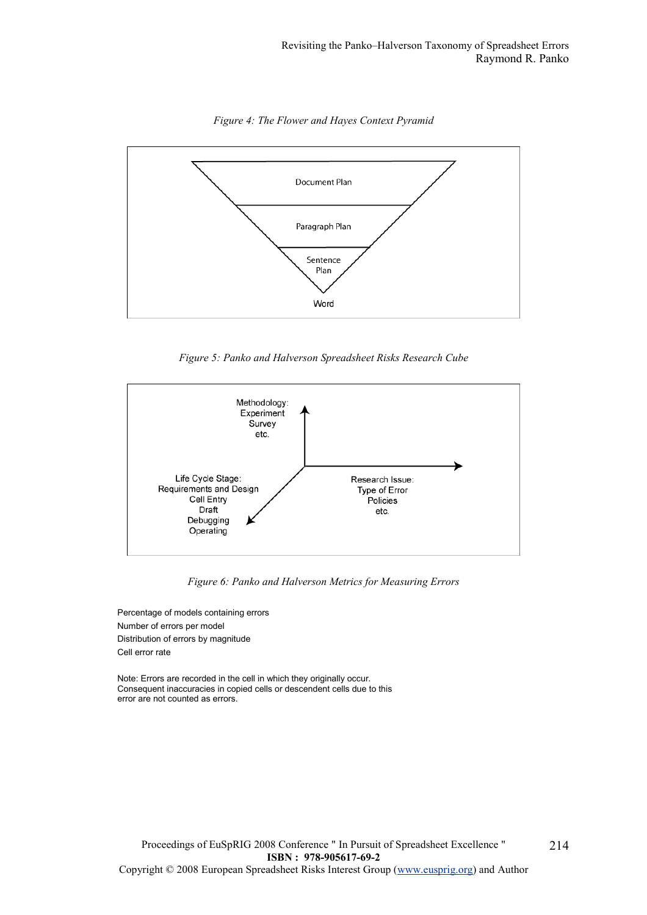

Figure 4: The Flower and Hayes Context Pyramid

Figure 5: Panko and Halverson Spreadsheet Risks Research Cube



Figure 6: Panko and Halverson Metrics for Measuring Errors

Percentage of models containing errors Number of errors per model Distribution of errors by magnitude Cell error rate

Note: Errors are recorded in the cell in which they originally occur. Consequent inaccuracies in copied cells or descendent cells due to this error are not counted as errors.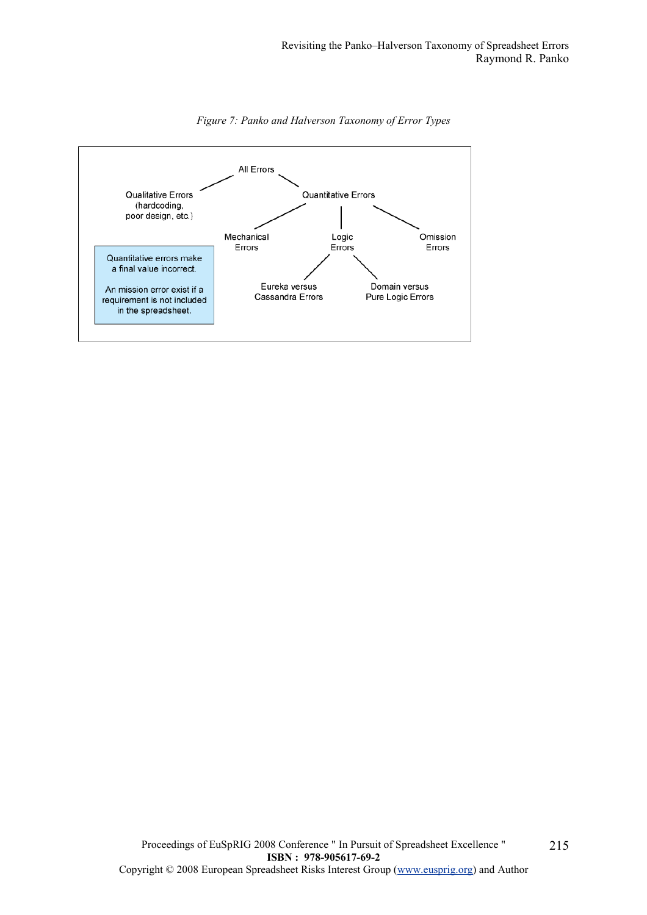

Figure 7: Panko and Halverson Taxonomy of Error Types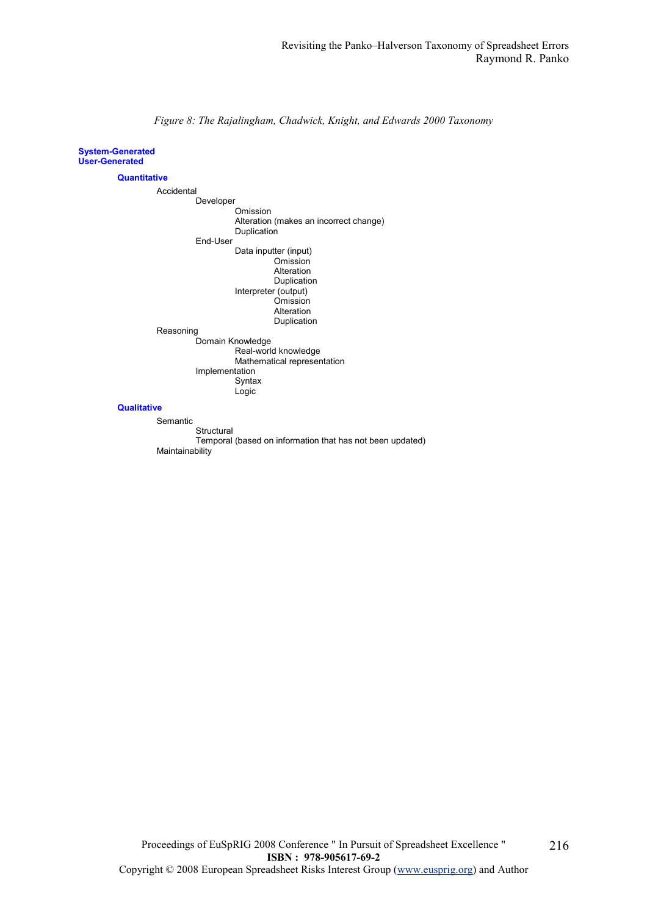User-Generated **Quantitative** Accidental Developer Omission Alteration (makes an incorrect change) Duplication End-User Data inputter (input) Omission Alteration Duplication Interpreter (output) Omission Alteration Duplication Reasoning Domain Knowledge Real-world knowledge Mathematical representation Implementation Syntax Logic **Qualitative** Semantic **Structural** Temporal (based on information that has not been updated) Maintainability

System-Generated

Figure 8: The Rajalingham, Chadwick, Knight, and Edwards 2000 Taxonomy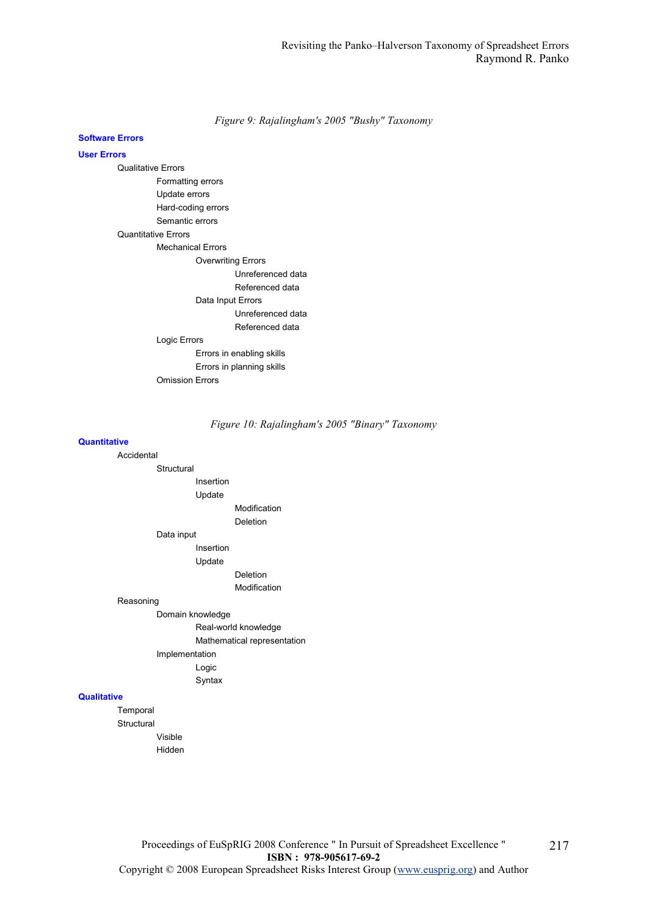#### Figure 9: Rajalingham's 2005 "Bushy" Taxonomy

#### Software Errors

#### User Errors

Qualitative Errors Formatting errors Update errors Hard-coding errors Semantic errors Quantitative Errors Mechanical Errors Overwriting Errors Unreferenced data Referenced data Data Input Errors Unreferenced data Referenced data Logic Errors Errors in enabling skills Errors in planning skills Omission Errors

Figure 10: Rajalingham's 2005 "Binary" Taxonomy

#### **Quantitative**

#### Accidental

- **Structural** Insertion
	- Update

Modification

- Deletion
- Data input
	- Insertion

Update

Deletion Modification

#### Reasoning

- Domain knowledge
	- Real-world knowledge
		- Mathematical representation
- Implementation
	- Logic
	- Syntax

#### **Qualitative**

**Temporal Structural** Visible

Hidden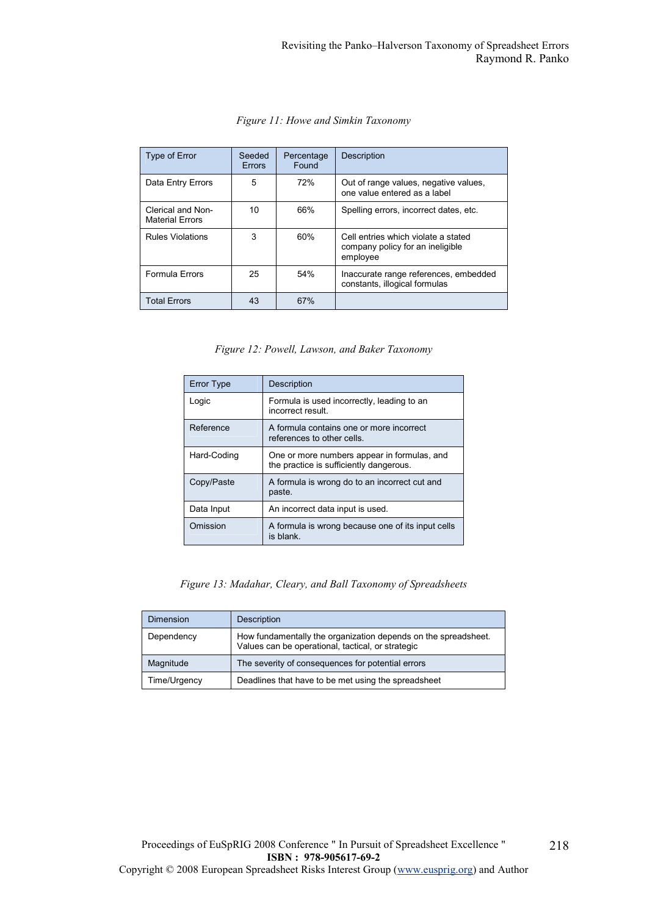| <b>Type of Error</b>                        | Seeded<br><b>Errors</b> | Percentage<br>Found | Description                                                                         |
|---------------------------------------------|-------------------------|---------------------|-------------------------------------------------------------------------------------|
| Data Entry Errors                           | 5                       | 72%                 | Out of range values, negative values,<br>one value entered as a label               |
| Clerical and Non-<br><b>Material Errors</b> | 10                      | 66%                 | Spelling errors, incorrect dates, etc.                                              |
| <b>Rules Violations</b>                     | 3                       | 60%                 | Cell entries which violate a stated<br>company policy for an ineligible<br>employee |
| Formula Errors                              | 25                      | 54%                 | Inaccurate range references, embedded<br>constants, illogical formulas              |
| <b>Total Errors</b>                         | 43                      | 67%                 |                                                                                     |

Figure 11: Howe and Simkin Taxonomy

Figure 12: Powell, Lawson, and Baker Taxonomy

| <b>Error Type</b> | Description                                                                            |
|-------------------|----------------------------------------------------------------------------------------|
| Logic             | Formula is used incorrectly, leading to an<br>incorrect result.                        |
| Reference         | A formula contains one or more incorrect<br>references to other cells.                 |
| Hard-Coding       | One or more numbers appear in formulas, and<br>the practice is sufficiently dangerous. |
| Copy/Paste        | A formula is wrong do to an incorrect cut and<br>paste.                                |
| Data Input        | An incorrect data input is used.                                                       |
| Omission          | A formula is wrong because one of its input cells<br>is blank                          |

Figure 13: Madahar, Cleary, and Ball Taxonomy of Spreadsheets

| <b>Dimension</b> | <b>Description</b>                                                                                                  |
|------------------|---------------------------------------------------------------------------------------------------------------------|
| Dependency       | How fundamentally the organization depends on the spreadsheet.<br>Values can be operational, tactical, or strategic |
| Magnitude        | The severity of consequences for potential errors                                                                   |
| Time/Urgency     | Deadlines that have to be met using the spreadsheet                                                                 |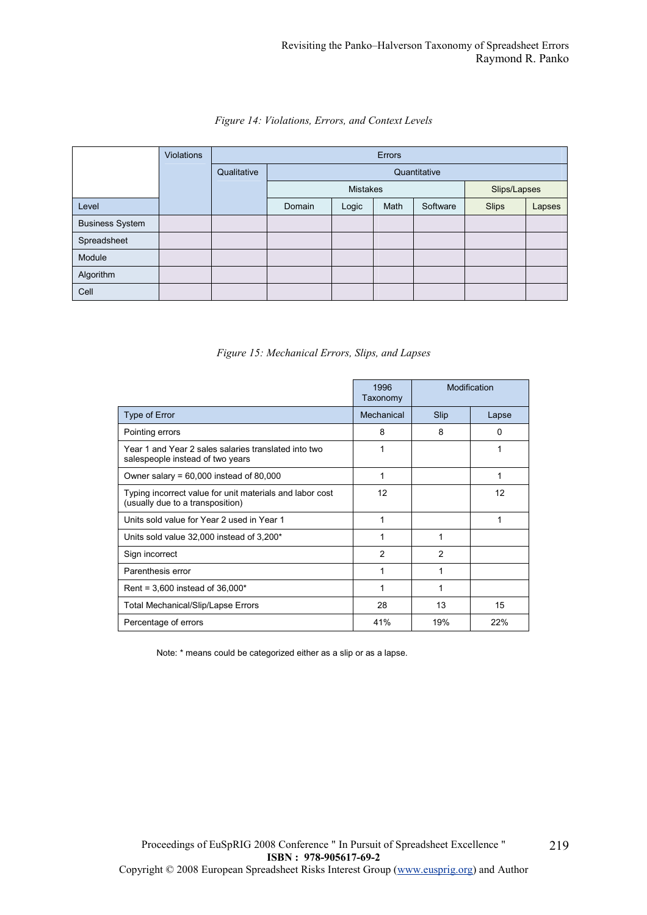|                        | <b>Violations</b> | <b>Errors</b> |                                     |  |  |  |              |        |
|------------------------|-------------------|---------------|-------------------------------------|--|--|--|--------------|--------|
|                        |                   | Qualitative   | Quantitative                        |  |  |  |              |        |
|                        |                   |               | <b>Mistakes</b>                     |  |  |  | Slips/Lapses |        |
| Level                  |                   |               | Software<br>Math<br>Domain<br>Logic |  |  |  | Slips        | Lapses |
| <b>Business System</b> |                   |               |                                     |  |  |  |              |        |
| Spreadsheet            |                   |               |                                     |  |  |  |              |        |
| Module                 |                   |               |                                     |  |  |  |              |        |
| Algorithm              |                   |               |                                     |  |  |  |              |        |
| Cell                   |                   |               |                                     |  |  |  |              |        |

# Figure 14: Violations, Errors, and Context Levels

Figure 15: Mechanical Errors, Slips, and Lapses

|                                                                                              | 1996<br>Taxonomy |                | Modification |
|----------------------------------------------------------------------------------------------|------------------|----------------|--------------|
| Type of Error                                                                                | Mechanical       | Slip           | Lapse        |
| Pointing errors                                                                              | 8                | 8              | $\Omega$     |
| Year 1 and Year 2 sales salaries translated into two<br>salespeople instead of two years     | 1                |                |              |
| Owner salary = $60,000$ instead of 80,000                                                    | 1                |                |              |
| Typing incorrect value for unit materials and labor cost<br>(usually due to a transposition) | 12               |                | 12           |
| Units sold value for Year 2 used in Year 1                                                   | 1                |                |              |
| Units sold value 32,000 instead of 3,200*                                                    |                  | 1              |              |
| Sign incorrect                                                                               | $\mathfrak{p}$   | $\mathfrak{p}$ |              |
| Parenthesis error                                                                            |                  |                |              |
| Rent = $3,600$ instead of $36,000*$                                                          | 1                |                |              |
| Total Mechanical/Slip/Lapse Errors                                                           | 28               | 13             | 15           |
| Percentage of errors                                                                         | 41%              | 19%            | 22%          |

Note: \* means could be categorized either as a slip or as a lapse.